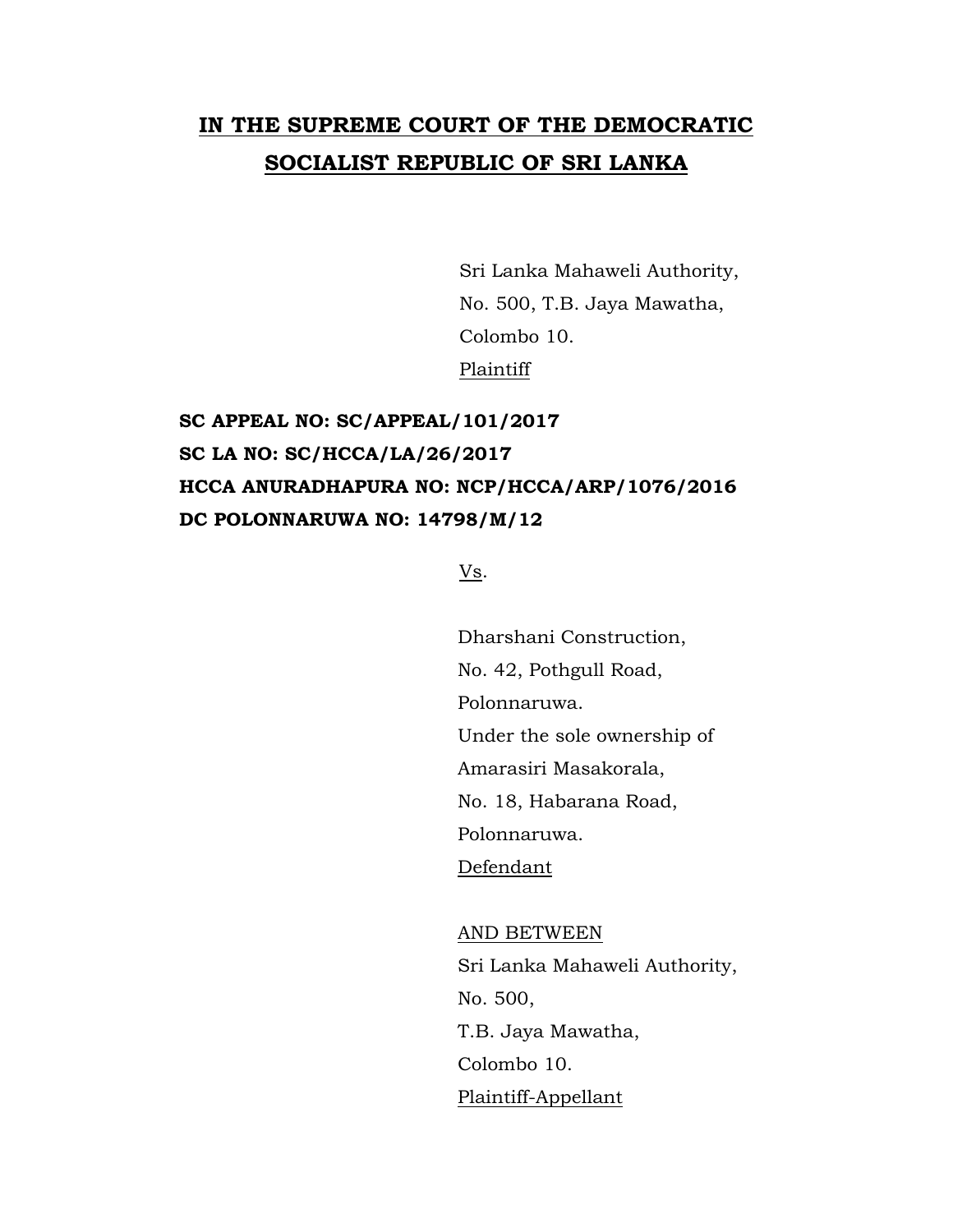## **IN THE SUPREME COURT OF THE DEMOCRATIC SOCIALIST REPUBLIC OF SRI LANKA**

Sri Lanka Mahaweli Authority, No. 500, T.B. Jaya Mawatha, Colombo 10. Plaintiff

## **SC APPEAL NO: SC/APPEAL/101/2017 SC LA NO: SC/HCCA/LA/26/2017 HCCA ANURADHAPURA NO: NCP/HCCA/ARP/1076/2016 DC POLONNARUWA NO: 14798/M/12**

Vs.

Dharshani Construction, No. 42, Pothgull Road, Polonnaruwa. Under the sole ownership of Amarasiri Masakorala, No. 18, Habarana Road, Polonnaruwa. Defendant

AND BETWEEN Sri Lanka Mahaweli Authority, No. 500, T.B. Jaya Mawatha, Colombo 10. Plaintiff-Appellant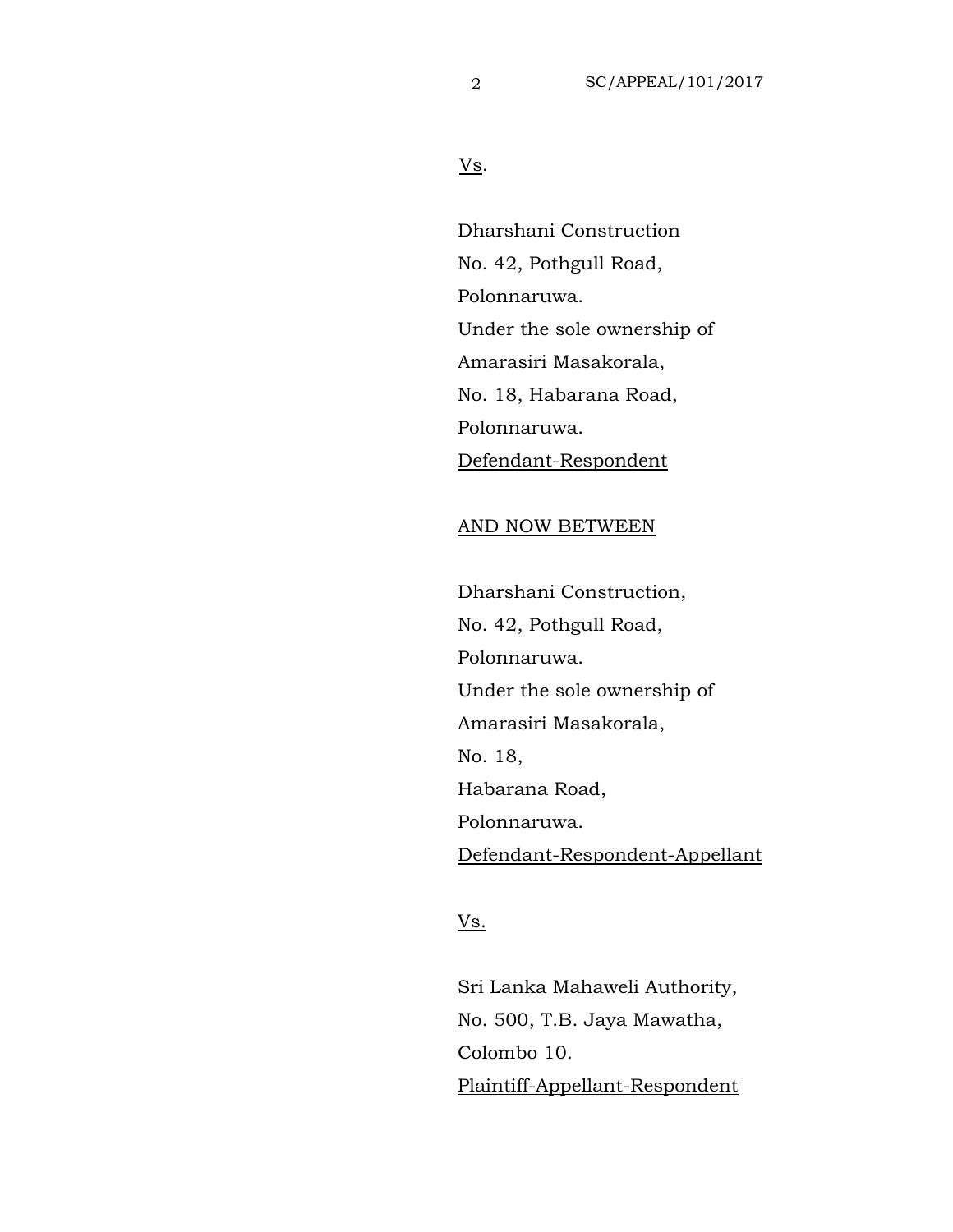Vs.

Dharshani Construction No. 42, Pothgull Road, Polonnaruwa. Under the sole ownership of Amarasiri Masakorala, No. 18, Habarana Road, Polonnaruwa. Defendant-Respondent

## AND NOW BETWEEN

Dharshani Construction, No. 42, Pothgull Road, Polonnaruwa. Under the sole ownership of Amarasiri Masakorala, No. 18, Habarana Road, Polonnaruwa. Defendant-Respondent-Appellant

## Vs.

Sri Lanka Mahaweli Authority, No. 500, T.B. Jaya Mawatha, Colombo 10. Plaintiff-Appellant-Respondent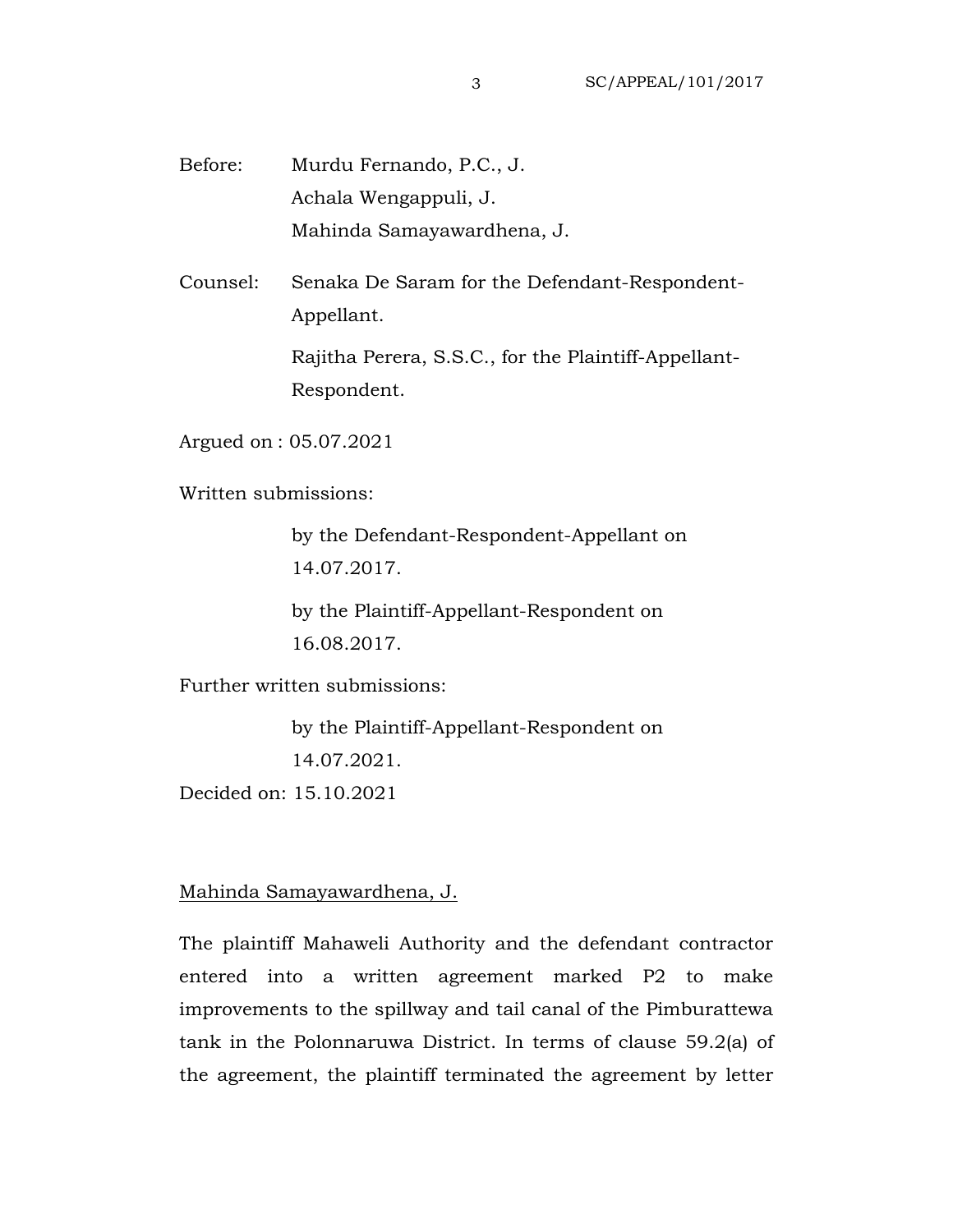Before: Murdu Fernando, P.C., J. Achala Wengappuli, J. Mahinda Samayawardhena, J.

Counsel: Senaka De Saram for the Defendant-Respondent-Appellant.

> Rajitha Perera, S.S.C., for the Plaintiff-Appellant-Respondent.

Argued on : 05.07.2021

Written submissions:

by the Defendant-Respondent-Appellant on 14.07.2017.

by the Plaintiff-Appellant-Respondent on 16.08.2017.

Further written submissions:

by the Plaintiff-Appellant-Respondent on 14.07.2021.

Decided on: 15.10.2021

Mahinda Samayawardhena, J.

The plaintiff Mahaweli Authority and the defendant contractor entered into a written agreement marked P2 to make improvements to the spillway and tail canal of the Pimburattewa tank in the Polonnaruwa District. In terms of clause 59.2(a) of the agreement, the plaintiff terminated the agreement by letter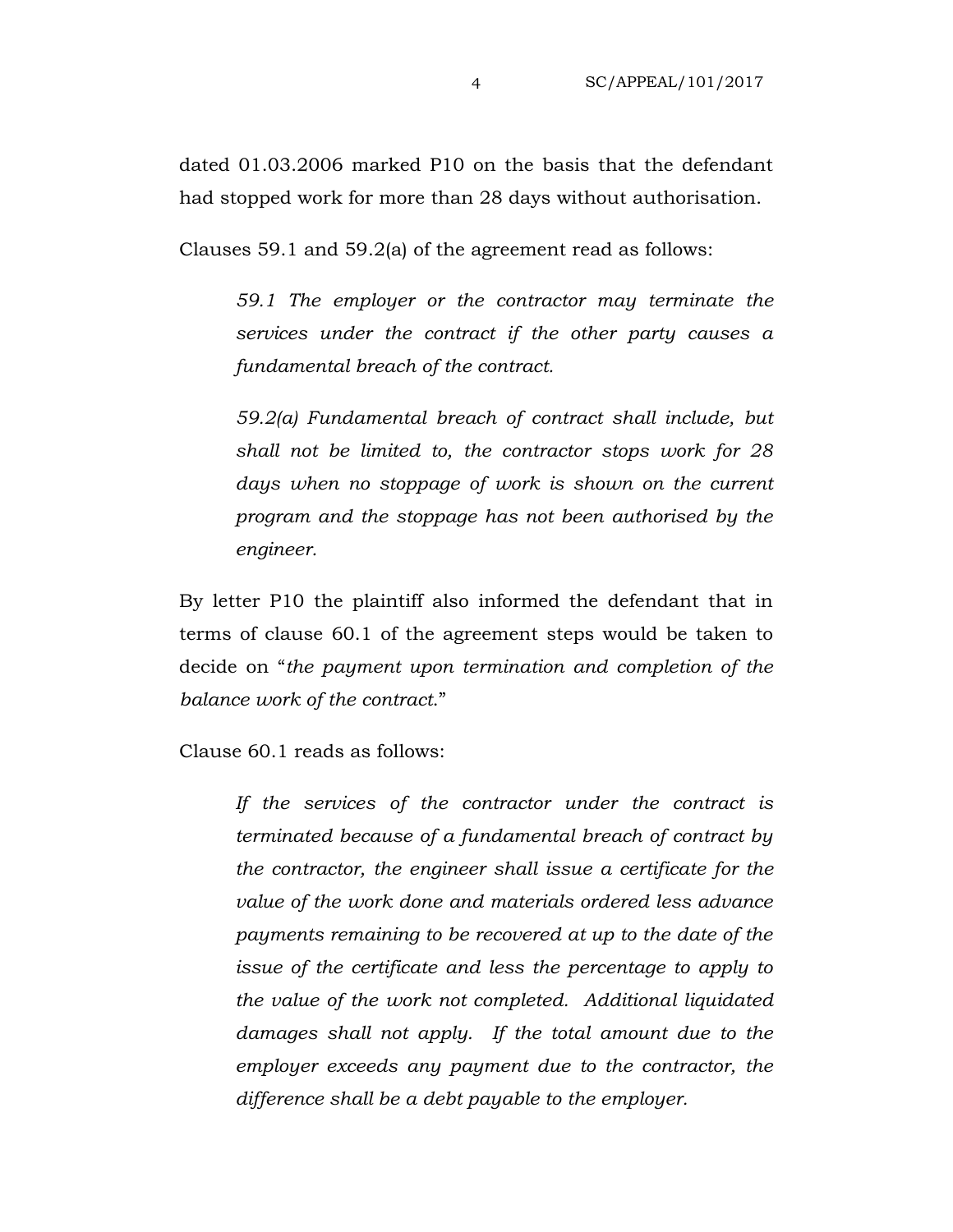dated 01.03.2006 marked P10 on the basis that the defendant had stopped work for more than 28 days without authorisation.

Clauses 59.1 and 59.2(a) of the agreement read as follows:

*59.1 The employer or the contractor may terminate the services under the contract if the other party causes a fundamental breach of the contract.*

*59.2(a) Fundamental breach of contract shall include, but shall not be limited to, the contractor stops work for 28 days when no stoppage of work is shown on the current program and the stoppage has not been authorised by the engineer.*

By letter P10 the plaintiff also informed the defendant that in terms of clause 60.1 of the agreement steps would be taken to decide on "*the payment upon termination and completion of the balance work of the contract*."

Clause 60.1 reads as follows:

*If the services of the contractor under the contract is terminated because of a fundamental breach of contract by the contractor, the engineer shall issue a certificate for the value of the work done and materials ordered less advance payments remaining to be recovered at up to the date of the issue of the certificate and less the percentage to apply to the value of the work not completed. Additional liquidated damages shall not apply. If the total amount due to the employer exceeds any payment due to the contractor, the difference shall be a debt payable to the employer.*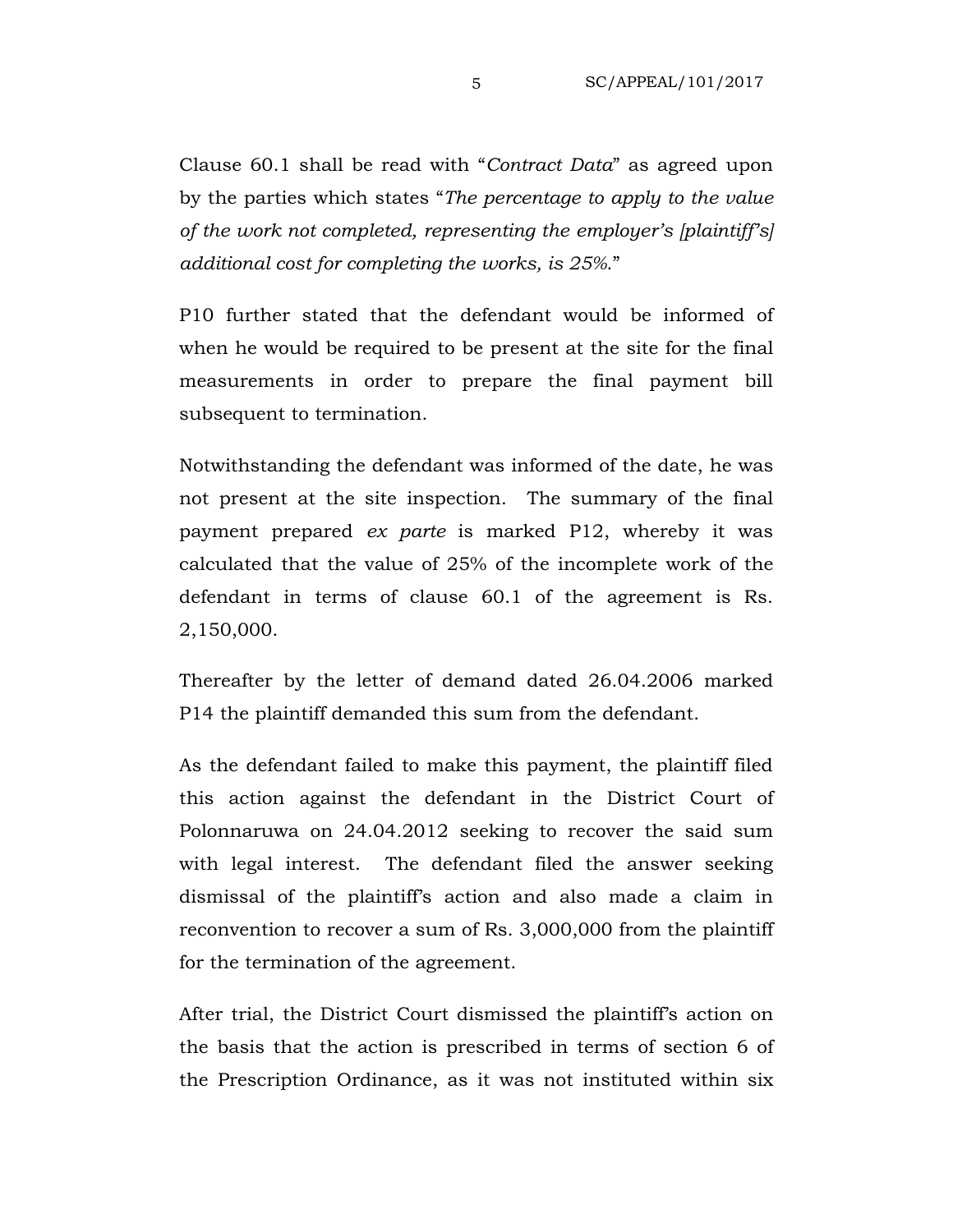Clause 60.1 shall be read with "*Contract Data*" as agreed upon by the parties which states "*The percentage to apply to the value of the work not completed, representing the employer's [plaintiff's] additional cost for completing the works, is 25%*."

P10 further stated that the defendant would be informed of when he would be required to be present at the site for the final measurements in order to prepare the final payment bill subsequent to termination.

Notwithstanding the defendant was informed of the date, he was not present at the site inspection. The summary of the final payment prepared *ex parte* is marked P12, whereby it was calculated that the value of 25% of the incomplete work of the defendant in terms of clause 60.1 of the agreement is Rs. 2,150,000.

Thereafter by the letter of demand dated 26.04.2006 marked P14 the plaintiff demanded this sum from the defendant.

As the defendant failed to make this payment, the plaintiff filed this action against the defendant in the District Court of Polonnaruwa on 24.04.2012 seeking to recover the said sum with legal interest. The defendant filed the answer seeking dismissal of the plaintiff's action and also made a claim in reconvention to recover a sum of Rs. 3,000,000 from the plaintiff for the termination of the agreement.

After trial, the District Court dismissed the plaintiff's action on the basis that the action is prescribed in terms of section 6 of the Prescription Ordinance, as it was not instituted within six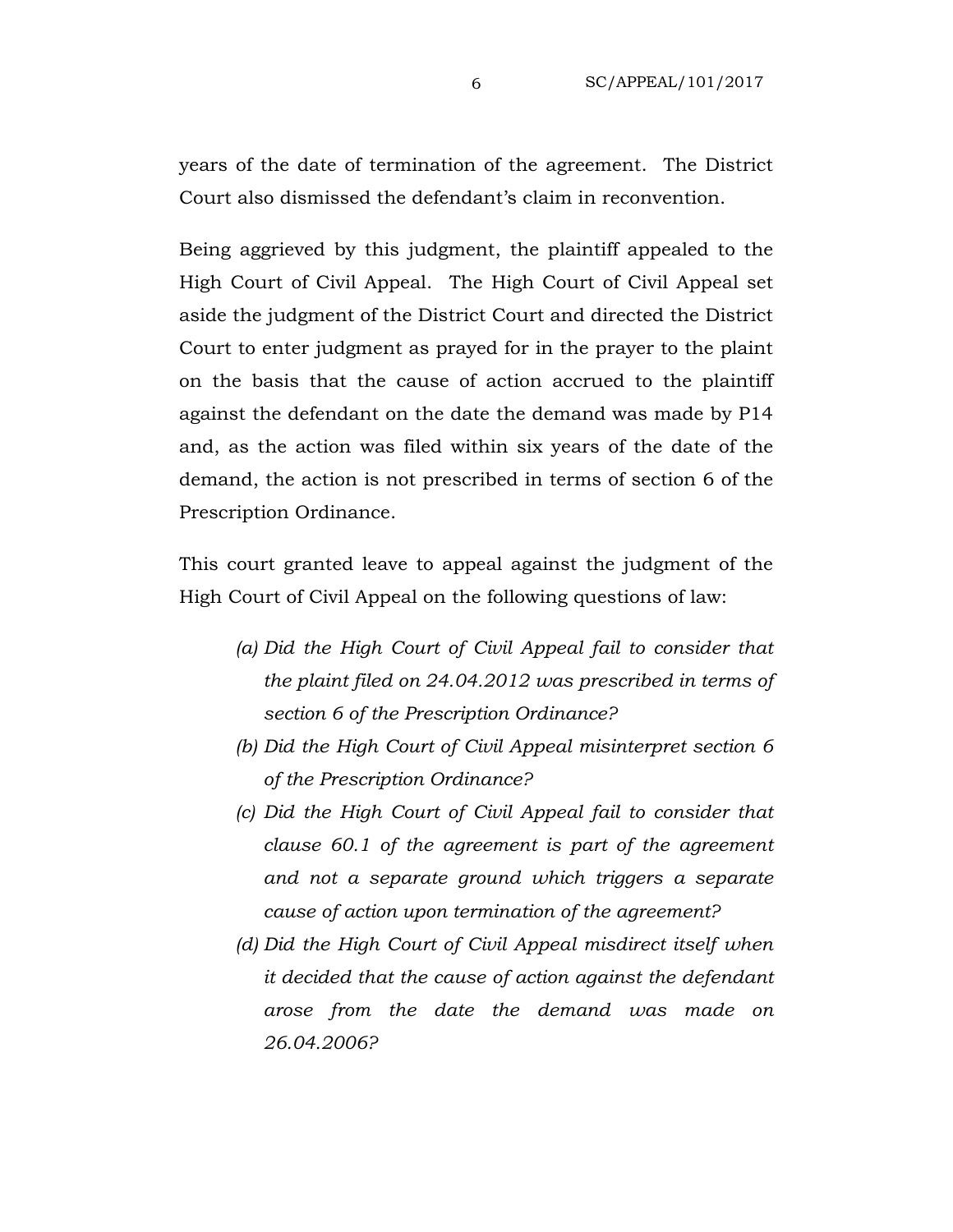years of the date of termination of the agreement. The District Court also dismissed the defendant's claim in reconvention.

Being aggrieved by this judgment, the plaintiff appealed to the High Court of Civil Appeal. The High Court of Civil Appeal set aside the judgment of the District Court and directed the District Court to enter judgment as prayed for in the prayer to the plaint on the basis that the cause of action accrued to the plaintiff against the defendant on the date the demand was made by P14 and, as the action was filed within six years of the date of the demand, the action is not prescribed in terms of section 6 of the Prescription Ordinance.

This court granted leave to appeal against the judgment of the High Court of Civil Appeal on the following questions of law:

- *(a) Did the High Court of Civil Appeal fail to consider that the plaint filed on 24.04.2012 was prescribed in terms of section 6 of the Prescription Ordinance?*
- *(b) Did the High Court of Civil Appeal misinterpret section 6 of the Prescription Ordinance?*
- *(c) Did the High Court of Civil Appeal fail to consider that clause 60.1 of the agreement is part of the agreement and not a separate ground which triggers a separate cause of action upon termination of the agreement?*
- *(d) Did the High Court of Civil Appeal misdirect itself when it decided that the cause of action against the defendant arose from the date the demand was made on 26.04.2006?*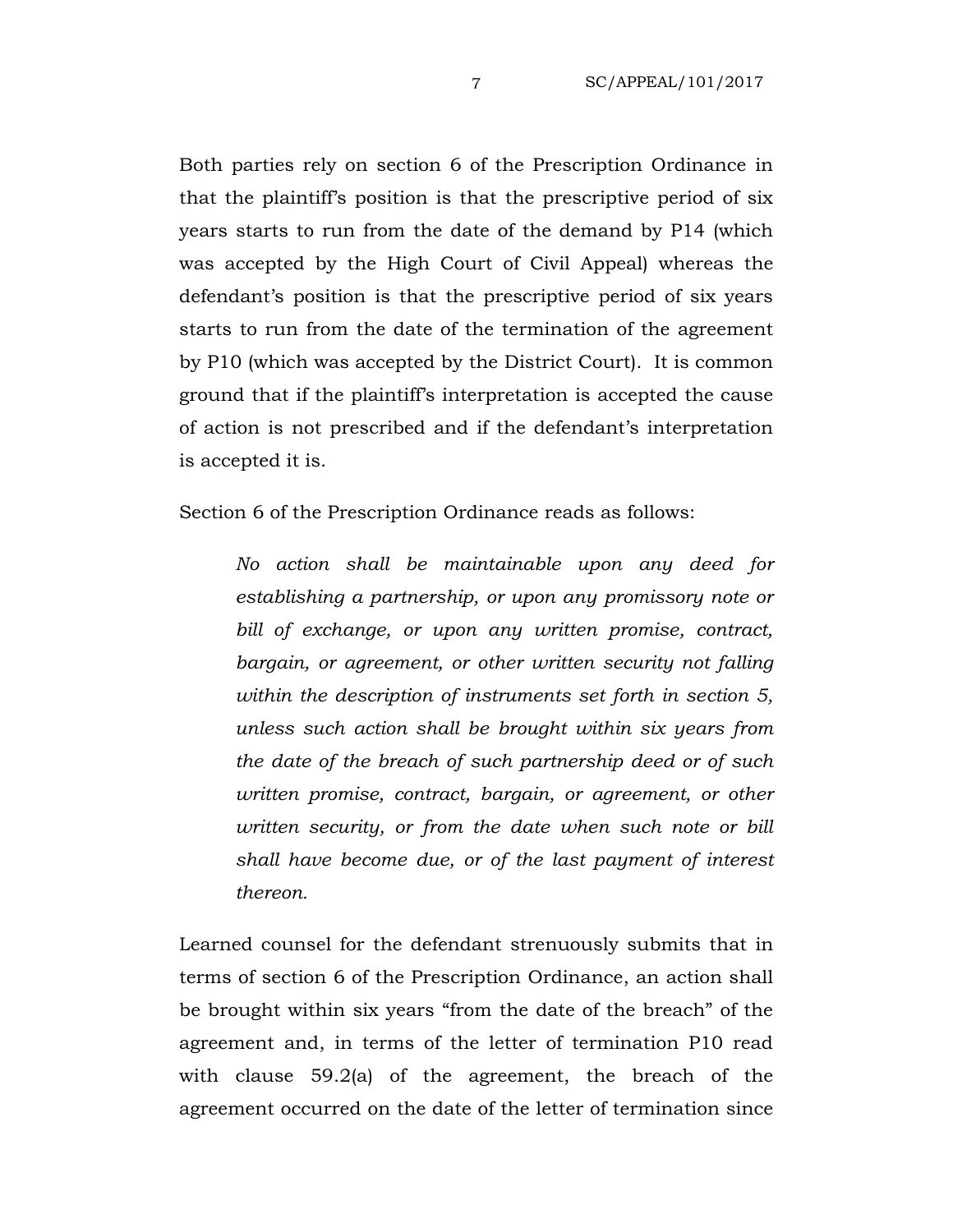Both parties rely on section 6 of the Prescription Ordinance in that the plaintiff's position is that the prescriptive period of six years starts to run from the date of the demand by P14 (which was accepted by the High Court of Civil Appeal) whereas the defendant's position is that the prescriptive period of six years starts to run from the date of the termination of the agreement by P10 (which was accepted by the District Court). It is common ground that if the plaintiff's interpretation is accepted the cause of action is not prescribed and if the defendant's interpretation is accepted it is.

Section 6 of the Prescription Ordinance reads as follows:

*No action shall be maintainable upon any deed for establishing a partnership, or upon any promissory note or bill of exchange, or upon any written promise, contract, bargain, or agreement, or other written security not falling within the description of instruments set forth in section 5, unless such action shall be brought within six years from the date of the breach of such partnership deed or of such written promise, contract, bargain, or agreement, or other written security, or from the date when such note or bill shall have become due, or of the last payment of interest thereon.*

Learned counsel for the defendant strenuously submits that in terms of section 6 of the Prescription Ordinance, an action shall be brought within six years "from the date of the breach" of the agreement and, in terms of the letter of termination P10 read with clause 59.2(a) of the agreement, the breach of the agreement occurred on the date of the letter of termination since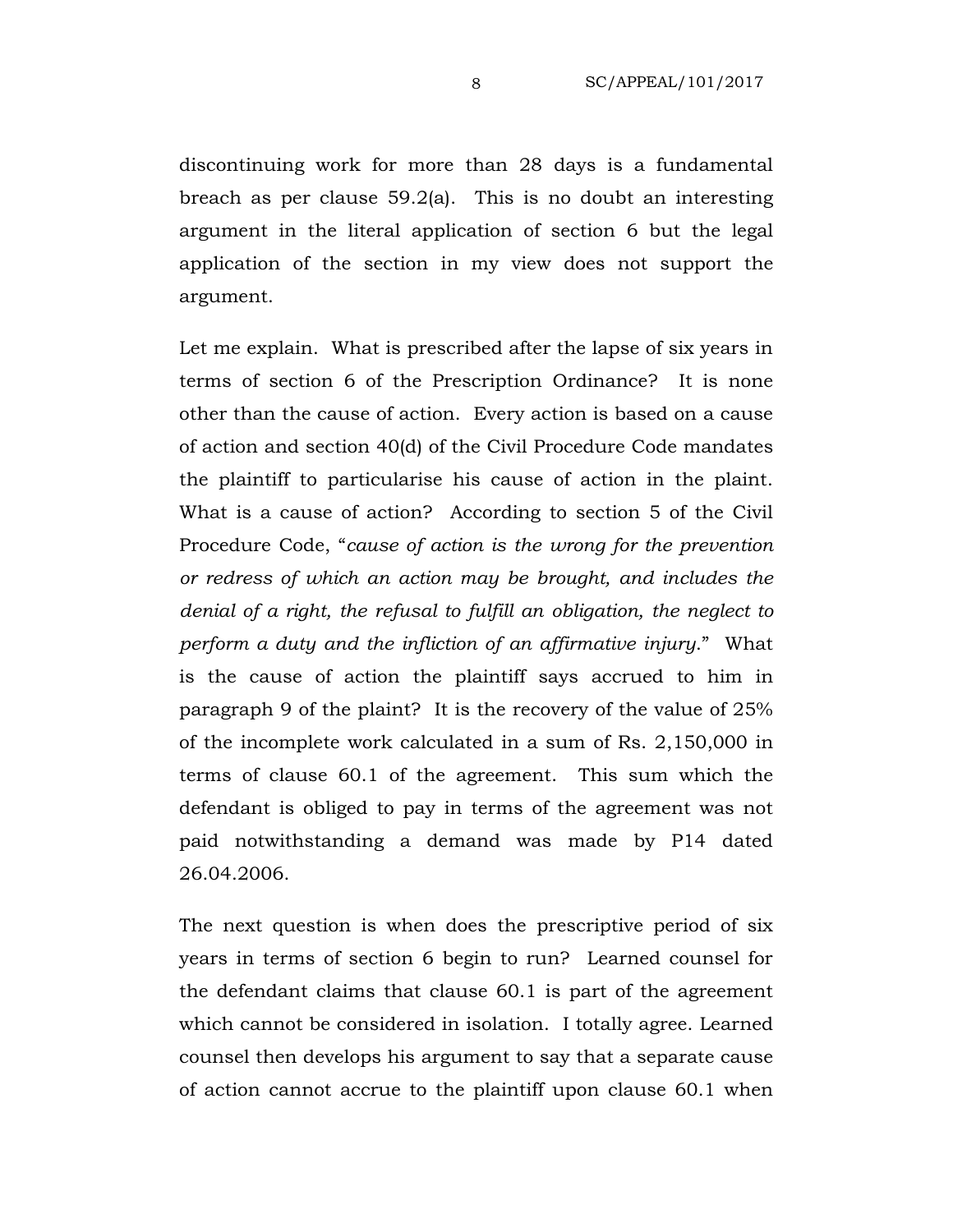discontinuing work for more than 28 days is a fundamental breach as per clause 59.2(a). This is no doubt an interesting argument in the literal application of section 6 but the legal application of the section in my view does not support the argument.

Let me explain. What is prescribed after the lapse of six years in terms of section 6 of the Prescription Ordinance? It is none other than the cause of action. Every action is based on a cause of action and section 40(d) of the Civil Procedure Code mandates the plaintiff to particularise his cause of action in the plaint. What is a cause of action? According to section 5 of the Civil Procedure Code, "*cause of action is the wrong for the prevention or redress of which an action may be brought, and includes the denial of a right, the refusal to fulfill an obligation, the neglect to perform a duty and the infliction of an affirmative injury*." What is the cause of action the plaintiff says accrued to him in paragraph 9 of the plaint? It is the recovery of the value of 25% of the incomplete work calculated in a sum of Rs. 2,150,000 in terms of clause 60.1 of the agreement. This sum which the defendant is obliged to pay in terms of the agreement was not paid notwithstanding a demand was made by P14 dated 26.04.2006.

The next question is when does the prescriptive period of six years in terms of section 6 begin to run? Learned counsel for the defendant claims that clause 60.1 is part of the agreement which cannot be considered in isolation. I totally agree. Learned counsel then develops his argument to say that a separate cause of action cannot accrue to the plaintiff upon clause 60.1 when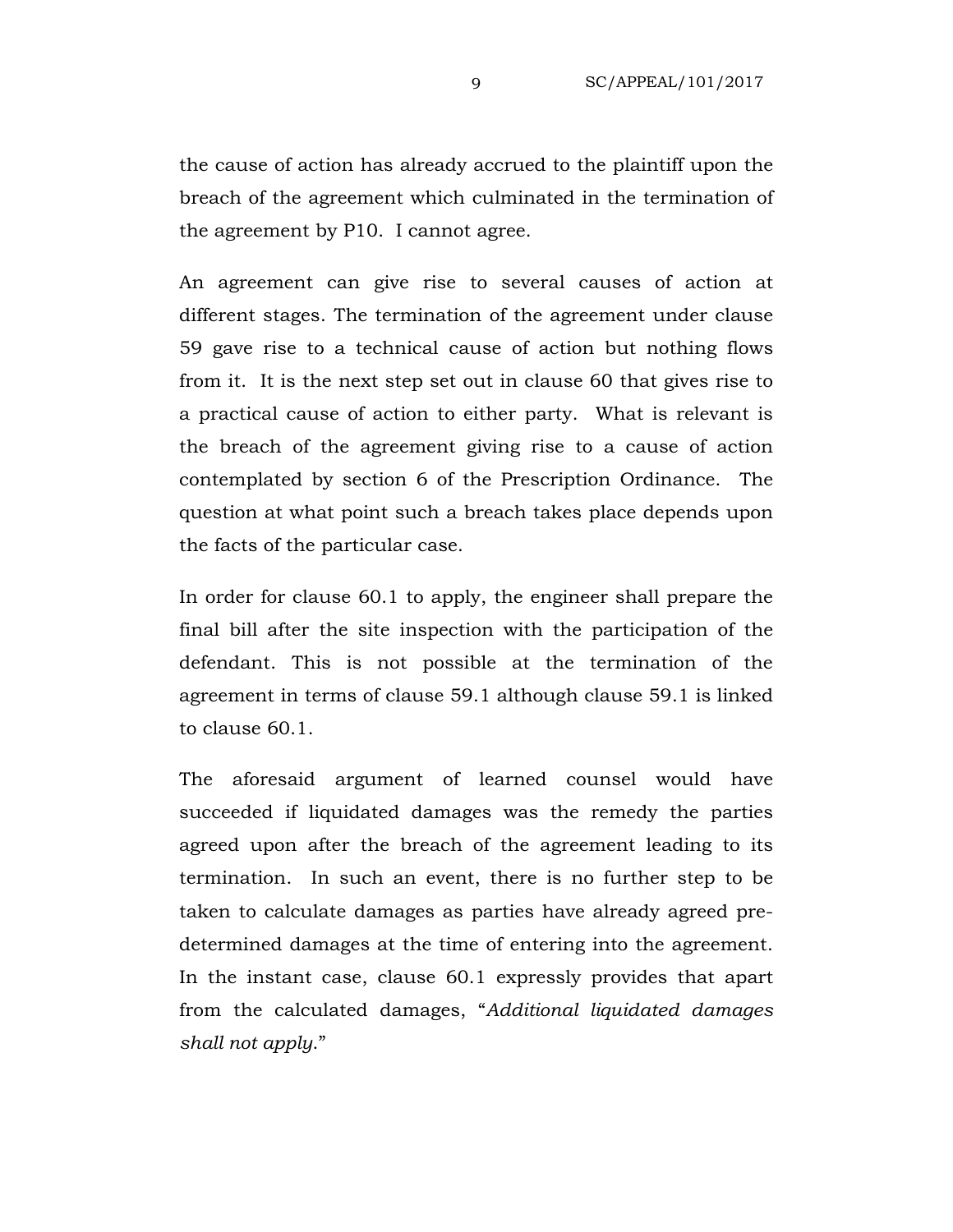the cause of action has already accrued to the plaintiff upon the breach of the agreement which culminated in the termination of the agreement by P10. I cannot agree.

An agreement can give rise to several causes of action at different stages. The termination of the agreement under clause 59 gave rise to a technical cause of action but nothing flows from it. It is the next step set out in clause 60 that gives rise to a practical cause of action to either party. What is relevant is the breach of the agreement giving rise to a cause of action contemplated by section 6 of the Prescription Ordinance. The question at what point such a breach takes place depends upon the facts of the particular case.

In order for clause 60.1 to apply, the engineer shall prepare the final bill after the site inspection with the participation of the defendant. This is not possible at the termination of the agreement in terms of clause 59.1 although clause 59.1 is linked to clause 60.1.

The aforesaid argument of learned counsel would have succeeded if liquidated damages was the remedy the parties agreed upon after the breach of the agreement leading to its termination. In such an event, there is no further step to be taken to calculate damages as parties have already agreed predetermined damages at the time of entering into the agreement. In the instant case, clause 60.1 expressly provides that apart from the calculated damages, "*Additional liquidated damages shall not apply*."